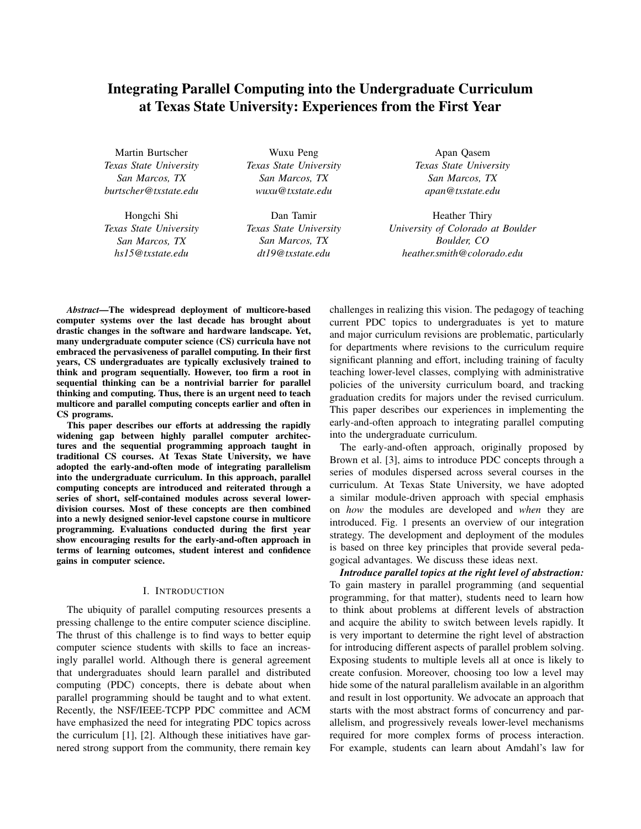# Integrating Parallel Computing into the Undergraduate Curriculum at Texas State University: Experiences from the First Year

Martin Burtscher *Texas State University San Marcos, TX burtscher@txstate.edu*

Hongchi Shi *Texas State University San Marcos, TX hs15@txstate.edu*

Wuxu Peng *Texas State University San Marcos, TX wuxu@txstate.edu*

Dan Tamir *Texas State University San Marcos, TX dt19@txstate.edu*

Apan Qasem *Texas State University San Marcos, TX apan@txstate.edu*

Heather Thiry *University of Colorado at Boulder Boulder, CO heather.smith@colorado.edu*

*Abstract*—The widespread deployment of multicore-based computer systems over the last decade has brought about drastic changes in the software and hardware landscape. Yet, many undergraduate computer science (CS) curricula have not embraced the pervasiveness of parallel computing. In their first years, CS undergraduates are typically exclusively trained to think and program sequentially. However, too firm a root in sequential thinking can be a nontrivial barrier for parallel thinking and computing. Thus, there is an urgent need to teach multicore and parallel computing concepts earlier and often in CS programs.

This paper describes our efforts at addressing the rapidly widening gap between highly parallel computer architectures and the sequential programming approach taught in traditional CS courses. At Texas State University, we have adopted the early-and-often mode of integrating parallelism into the undergraduate curriculum. In this approach, parallel computing concepts are introduced and reiterated through a series of short, self-contained modules across several lowerdivision courses. Most of these concepts are then combined into a newly designed senior-level capstone course in multicore programming. Evaluations conducted during the first year show encouraging results for the early-and-often approach in terms of learning outcomes, student interest and confidence gains in computer science.

#### I. INTRODUCTION

The ubiquity of parallel computing resources presents a pressing challenge to the entire computer science discipline. The thrust of this challenge is to find ways to better equip computer science students with skills to face an increasingly parallel world. Although there is general agreement that undergraduates should learn parallel and distributed computing (PDC) concepts, there is debate about when parallel programming should be taught and to what extent. Recently, the NSF/IEEE-TCPP PDC committee and ACM have emphasized the need for integrating PDC topics across the curriculum [1], [2]. Although these initiatives have garnered strong support from the community, there remain key challenges in realizing this vision. The pedagogy of teaching current PDC topics to undergraduates is yet to mature and major curriculum revisions are problematic, particularly for departments where revisions to the curriculum require significant planning and effort, including training of faculty teaching lower-level classes, complying with administrative policies of the university curriculum board, and tracking graduation credits for majors under the revised curriculum. This paper describes our experiences in implementing the early-and-often approach to integrating parallel computing into the undergraduate curriculum.

The early-and-often approach, originally proposed by Brown et al. [3], aims to introduce PDC concepts through a series of modules dispersed across several courses in the curriculum. At Texas State University, we have adopted a similar module-driven approach with special emphasis on *how* the modules are developed and *when* they are introduced. Fig. 1 presents an overview of our integration strategy. The development and deployment of the modules is based on three key principles that provide several pedagogical advantages. We discuss these ideas next.

*Introduce parallel topics at the right level of abstraction:* To gain mastery in parallel programming (and sequential programming, for that matter), students need to learn how to think about problems at different levels of abstraction and acquire the ability to switch between levels rapidly. It is very important to determine the right level of abstraction for introducing different aspects of parallel problem solving. Exposing students to multiple levels all at once is likely to create confusion. Moreover, choosing too low a level may hide some of the natural parallelism available in an algorithm and result in lost opportunity. We advocate an approach that starts with the most abstract forms of concurrency and parallelism, and progressively reveals lower-level mechanisms required for more complex forms of process interaction. For example, students can learn about Amdahl's law for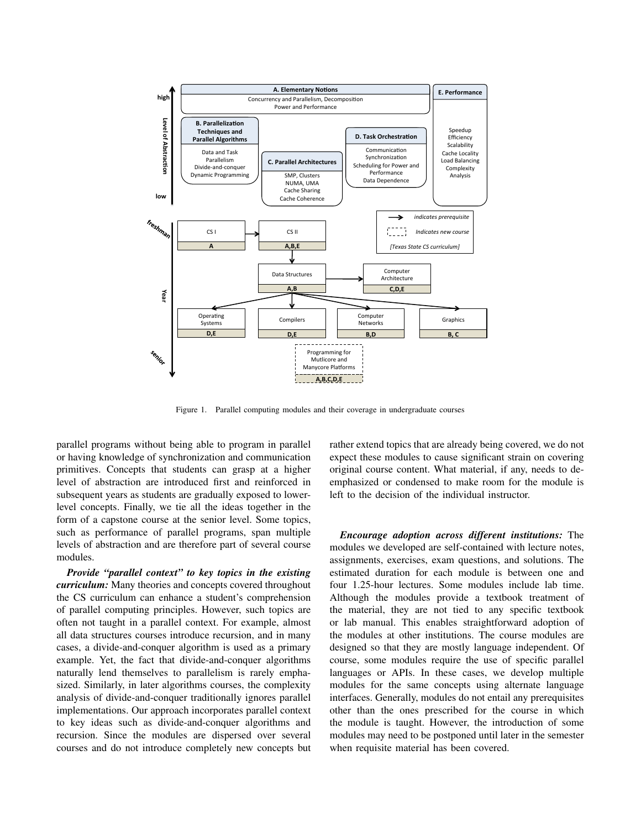

Figure 1. Parallel computing modules and their coverage in undergraduate courses

parallel programs without being able to program in parallel or having knowledge of synchronization and communication primitives. Concepts that students can grasp at a higher level of abstraction are introduced first and reinforced in subsequent years as students are gradually exposed to lowerlevel concepts. Finally, we tie all the ideas together in the form of a capstone course at the senior level. Some topics, such as performance of parallel programs, span multiple levels of abstraction and are therefore part of several course modules.

*Provide "parallel context" to key topics in the existing curriculum:* Many theories and concepts covered throughout the CS curriculum can enhance a student's comprehension of parallel computing principles. However, such topics are often not taught in a parallel context. For example, almost all data structures courses introduce recursion, and in many cases, a divide-and-conquer algorithm is used as a primary example. Yet, the fact that divide-and-conquer algorithms naturally lend themselves to parallelism is rarely emphasized. Similarly, in later algorithms courses, the complexity analysis of divide-and-conquer traditionally ignores parallel implementations. Our approach incorporates parallel context to key ideas such as divide-and-conquer algorithms and recursion. Since the modules are dispersed over several courses and do not introduce completely new concepts but rather extend topics that are already being covered, we do not expect these modules to cause significant strain on covering original course content. What material, if any, needs to deemphasized or condensed to make room for the module is left to the decision of the individual instructor.

*Encourage adoption across different institutions:* The modules we developed are self-contained with lecture notes, assignments, exercises, exam questions, and solutions. The estimated duration for each module is between one and four 1.25-hour lectures. Some modules include lab time. Although the modules provide a textbook treatment of the material, they are not tied to any specific textbook or lab manual. This enables straightforward adoption of the modules at other institutions. The course modules are designed so that they are mostly language independent. Of course, some modules require the use of specific parallel languages or APIs. In these cases, we develop multiple modules for the same concepts using alternate language interfaces. Generally, modules do not entail any prerequisites other than the ones prescribed for the course in which the module is taught. However, the introduction of some modules may need to be postponed until later in the semester when requisite material has been covered.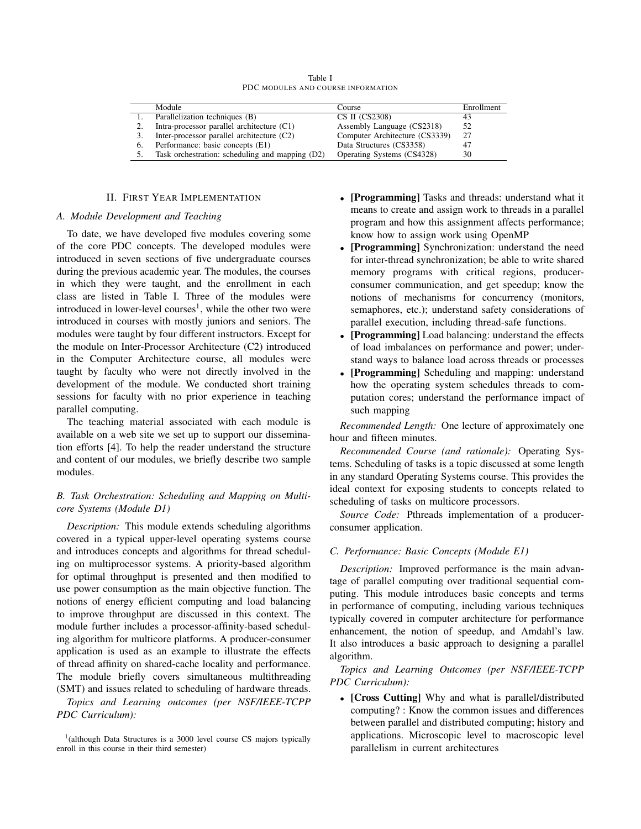|    | Module                                          | Course                         | Enrollment |
|----|-------------------------------------------------|--------------------------------|------------|
|    | Parallelization techniques (B)                  | CS II (CS2308)                 |            |
|    | Intra-processor parallel architecture (C1)      | Assembly Language (CS2318)     | 52         |
|    | Inter-processor parallel architecture (C2)      | Computer Architecture (CS3339) | 27         |
| 6. | Performance: basic concepts (E1)                | Data Structures (CS3358)       | -47        |
|    | Task orchestration: scheduling and mapping (D2) | Operating Systems (CS4328)     | 30         |

Table I PDC MODULES AND COURSE INFORMATION

## II. FIRST YEAR IMPLEMENTATION

## *A. Module Development and Teaching*

To date, we have developed five modules covering some of the core PDC concepts. The developed modules were introduced in seven sections of five undergraduate courses during the previous academic year. The modules, the courses in which they were taught, and the enrollment in each class are listed in Table I. Three of the modules were introduced in lower-level courses<sup>1</sup>, while the other two were introduced in courses with mostly juniors and seniors. The modules were taught by four different instructors. Except for the module on Inter-Processor Architecture (C2) introduced in the Computer Architecture course, all modules were taught by faculty who were not directly involved in the development of the module. We conducted short training sessions for faculty with no prior experience in teaching parallel computing.

The teaching material associated with each module is available on a web site we set up to support our dissemination efforts [4]. To help the reader understand the structure and content of our modules, we briefly describe two sample modules.

# *B. Task Orchestration: Scheduling and Mapping on Multicore Systems (Module D1)*

*Description:* This module extends scheduling algorithms covered in a typical upper-level operating systems course and introduces concepts and algorithms for thread scheduling on multiprocessor systems. A priority-based algorithm for optimal throughput is presented and then modified to use power consumption as the main objective function. The notions of energy efficient computing and load balancing to improve throughput are discussed in this context. The module further includes a processor-affinity-based scheduling algorithm for multicore platforms. A producer-consumer application is used as an example to illustrate the effects of thread affinity on shared-cache locality and performance. The module briefly covers simultaneous multithreading (SMT) and issues related to scheduling of hardware threads.

*Topics and Learning outcomes (per NSF/IEEE-TCPP PDC Curriculum):*

- [Programming] Tasks and threads: understand what it means to create and assign work to threads in a parallel program and how this assignment affects performance; know how to assign work using OpenMP
- [Programming] Synchronization: understand the need for inter-thread synchronization; be able to write shared memory programs with critical regions, producerconsumer communication, and get speedup; know the notions of mechanisms for concurrency (monitors, semaphores, etc.); understand safety considerations of parallel execution, including thread-safe functions.
- [Programming] Load balancing: understand the effects of load imbalances on performance and power; understand ways to balance load across threads or processes
- [Programming] Scheduling and mapping: understand how the operating system schedules threads to computation cores; understand the performance impact of such mapping

*Recommended Length:* One lecture of approximately one hour and fifteen minutes.

*Recommended Course (and rationale):* Operating Systems. Scheduling of tasks is a topic discussed at some length in any standard Operating Systems course. This provides the ideal context for exposing students to concepts related to scheduling of tasks on multicore processors.

*Source Code:* Pthreads implementation of a producerconsumer application.

## *C. Performance: Basic Concepts (Module E1)*

*Description:* Improved performance is the main advantage of parallel computing over traditional sequential computing. This module introduces basic concepts and terms in performance of computing, including various techniques typically covered in computer architecture for performance enhancement, the notion of speedup, and Amdahl's law. It also introduces a basic approach to designing a parallel algorithm.

*Topics and Learning Outcomes (per NSF/IEEE-TCPP PDC Curriculum):*

• [Cross Cutting] Why and what is parallel/distributed computing? : Know the common issues and differences between parallel and distributed computing; history and applications. Microscopic level to macroscopic level parallelism in current architectures

<sup>&</sup>lt;sup>1</sup>(although Data Structures is a 3000 level course CS majors typically enroll in this course in their third semester)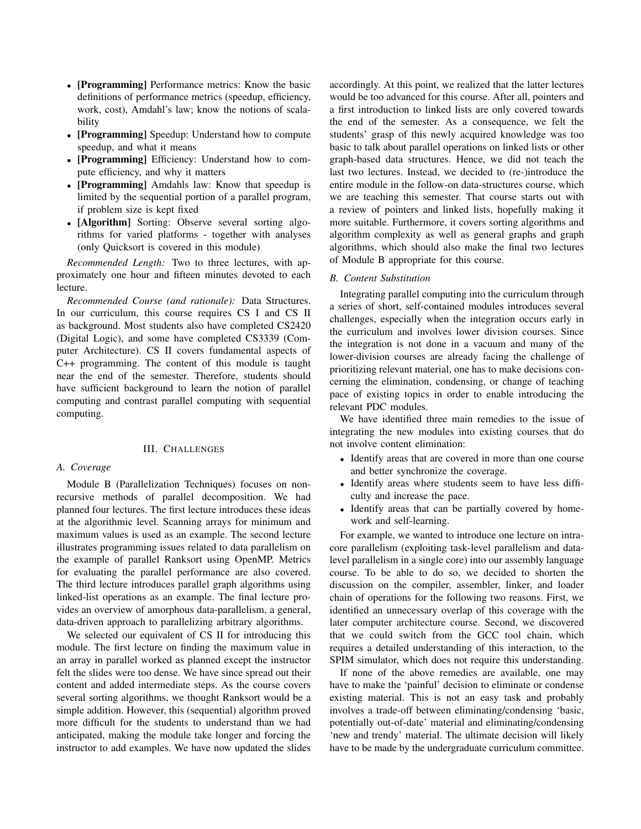- [Programming] Performance metrics: Know the basic definitions of performance metrics (speedup, efficiency, work, cost), Amdahl's law; know the notions of scalability
- [Programming] Speedup: Understand how to compute speedup, and what it means
- [Programming] Efficiency: Understand how to compute efficiency, and why it matters
- [Programming] Amdahls law: Know that speedup is limited by the sequential portion of a parallel program, if problem size is kept fixed
- [Algorithm] Sorting: Observe several sorting algorithms for varied platforms - together with analyses (only Quicksort is covered in this module)

*Recommended Length:* Two to three lectures, with approximately one hour and fifteen minutes devoted to each lecture.

*Recommended Course (and rationale):* Data Structures. In our curriculum, this course requires CS I and CS II as background. Most students also have completed CS2420 (Digital Logic), and some have completed CS3339 (Computer Architecture). CS II covers fundamental aspects of C++ programming. The content of this module is taught near the end of the semester. Therefore, students should have sufficient background to learn the notion of parallel computing and contrast parallel computing with sequential computing.

## III. CHALLENGES

## *A. Coverage*

Module B (Parallelization Techniques) focuses on nonrecursive methods of parallel decomposition. We had planned four lectures. The first lecture introduces these ideas at the algorithmic level. Scanning arrays for minimum and maximum values is used as an example. The second lecture illustrates programming issues related to data parallelism on the example of parallel Ranksort using OpenMP. Metrics for evaluating the parallel performance are also covered. The third lecture introduces parallel graph algorithms using linked-list operations as an example. The final lecture provides an overview of amorphous data-parallelism, a general, data-driven approach to parallelizing arbitrary algorithms.

We selected our equivalent of CS II for introducing this module. The first lecture on finding the maximum value in an array in parallel worked as planned except the instructor felt the slides were too dense. We have since spread out their content and added intermediate steps. As the course covers several sorting algorithms, we thought Ranksort would be a simple addition. However, this (sequential) algorithm proved more difficult for the students to understand than we had anticipated, making the module take longer and forcing the instructor to add examples. We have now updated the slides accordingly. At this point, we realized that the latter lectures would be too advanced for this course. After all, pointers and a first introduction to linked lists are only covered towards the end of the semester. As a consequence, we felt the students' grasp of this newly acquired knowledge was too basic to talk about parallel operations on linked lists or other graph-based data structures. Hence, we did not teach the last two lectures. Instead, we decided to (re-)introduce the entire module in the follow-on data-structures course, which we are teaching this semester. That course starts out with a review of pointers and linked lists, hopefully making it more suitable. Furthermore, it covers sorting algorithms and algorithm complexity as well as general graphs and graph algorithms, which should also make the final two lectures of Module B appropriate for this course.

#### *B. Content Substitution*

Integrating parallel computing into the curriculum through a series of short, self-contained modules introduces several challenges, especially when the integration occurs early in the curriculum and involves lower division courses. Since the integration is not done in a vacuum and many of the lower-division courses are already facing the challenge of prioritizing relevant material, one has to make decisions concerning the elimination, condensing, or change of teaching pace of existing topics in order to enable introducing the relevant PDC modules.

We have identified three main remedies to the issue of integrating the new modules into existing courses that do not involve content elimination:

- Identify areas that are covered in more than one course and better synchronize the coverage.
- Identify areas where students seem to have less difficulty and increase the pace.
- Identify areas that can be partially covered by homework and self-learning.

For example, we wanted to introduce one lecture on intracore parallelism (exploiting task-level parallelism and datalevel parallelism in a single core) into our assembly language course. To be able to do so, we decided to shorten the discussion on the compiler, assembler, linker, and loader chain of operations for the following two reasons. First, we identified an unnecessary overlap of this coverage with the later computer architecture course. Second, we discovered that we could switch from the GCC tool chain, which requires a detailed understanding of this interaction, to the SPIM simulator, which does not require this understanding.

If none of the above remedies are available, one may have to make the 'painful' decision to eliminate or condense existing material. This is not an easy task and probably involves a trade-off between eliminating/condensing 'basic, potentially out-of-date' material and eliminating/condensing 'new and trendy' material. The ultimate decision will likely have to be made by the undergraduate curriculum committee.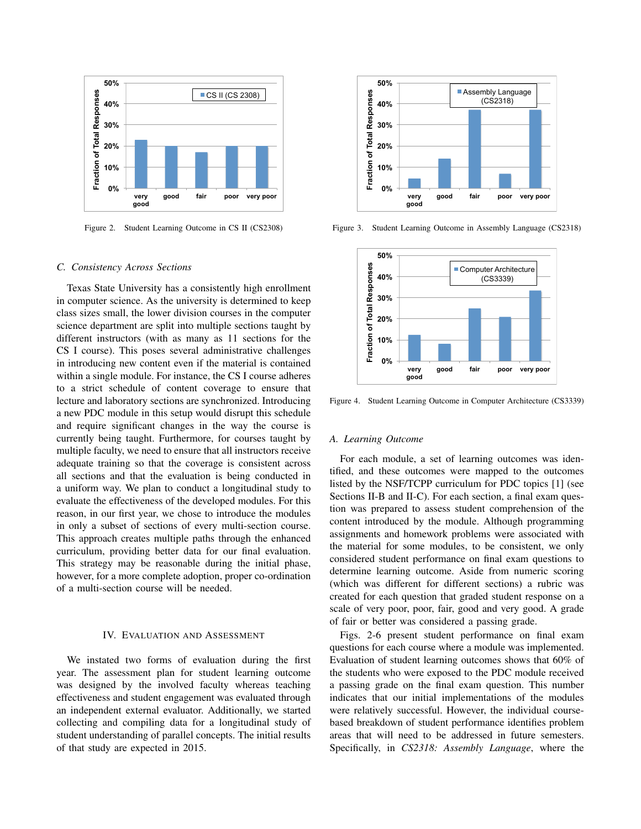

Figure 2. Student Learning Outcome in CS II (CS2308)

#### *C. Consistency Across Sections*

Texas State University has a consistently high enrollment in computer science. As the university is determined to keep class sizes small, the lower division courses in the computer science department are split into multiple sections taught by different instructors (with as many as 11 sections for the CS I course). This poses several administrative challenges in introducing new content even if the material is contained within a single module. For instance, the CS I course adheres to a strict schedule of content coverage to ensure that lecture and laboratory sections are synchronized. Introducing a new PDC module in this setup would disrupt this schedule and require significant changes in the way the course is currently being taught. Furthermore, for courses taught by multiple faculty, we need to ensure that all instructors receive adequate training so that the coverage is consistent across all sections and that the evaluation is being conducted in a uniform way. We plan to conduct a longitudinal study to evaluate the effectiveness of the developed modules. For this reason, in our first year, we chose to introduce the modules in only a subset of sections of every multi-section course. This approach creates multiple paths through the enhanced curriculum, providing better data for our final evaluation. This strategy may be reasonable during the initial phase, however, for a more complete adoption, proper co-ordination of a multi-section course will be needed.

#### IV. EVALUATION AND ASSESSMENT

We instated two forms of evaluation during the first year. The assessment plan for student learning outcome was designed by the involved faculty whereas teaching effectiveness and student engagement was evaluated through an independent external evaluator. Additionally, we started collecting and compiling data for a longitudinal study of student understanding of parallel concepts. The initial results of that study are expected in 2015.



Figure 3. Student Learning Outcome in Assembly Language (CS2318)



Figure 4. Student Learning Outcome in Computer Architecture (CS3339)

#### *A. Learning Outcome*

For each module, a set of learning outcomes was identified, and these outcomes were mapped to the outcomes listed by the NSF/TCPP curriculum for PDC topics [1] (see Sections II-B and II-C). For each section, a final exam question was prepared to assess student comprehension of the content introduced by the module. Although programming assignments and homework problems were associated with the material for some modules, to be consistent, we only considered student performance on final exam questions to determine learning outcome. Aside from numeric scoring (which was different for different sections) a rubric was created for each question that graded student response on a scale of very poor, poor, fair, good and very good. A grade of fair or better was considered a passing grade.

Figs. 2-6 present student performance on final exam questions for each course where a module was implemented. Evaluation of student learning outcomes shows that 60% of the students who were exposed to the PDC module received a passing grade on the final exam question. This number indicates that our initial implementations of the modules were relatively successful. However, the individual coursebased breakdown of student performance identifies problem areas that will need to be addressed in future semesters. Specifically, in *CS2318: Assembly Language*, where the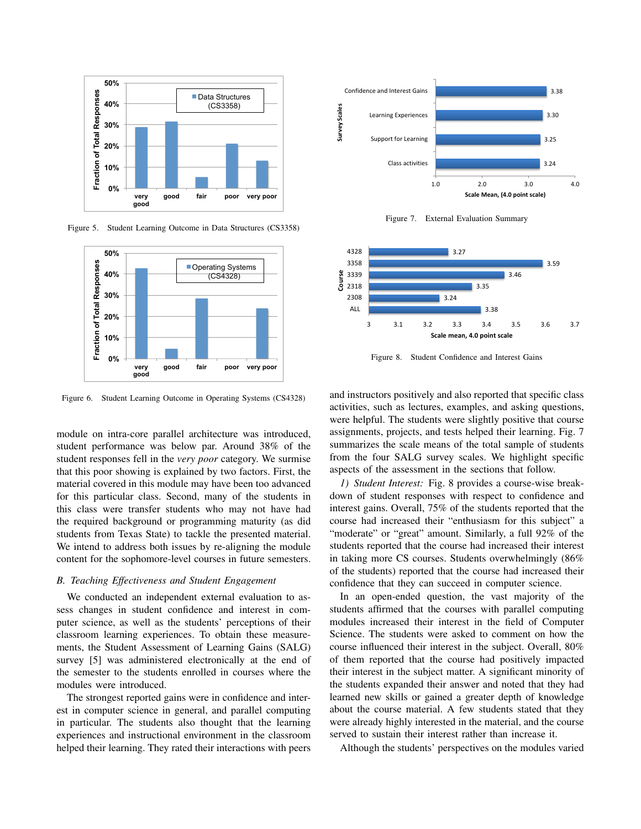

Figure 5. Student Learning Outcome in Data Structures (CS3358)



Figure 6. Student Learning Outcome in Operating Systems (CS4328)

module on intra-core parallel architecture was introduced, student performance was below par. Around 38% of the student responses fell in the *very poor* category. We surmise that this poor showing is explained by two factors. First, the material covered in this module may have been too advanced for this particular class. Second, many of the students in this class were transfer students who may not have had the required background or programming maturity (as did students from Texas State) to tackle the presented material. We intend to address both issues by re-aligning the module content for the sophomore-level courses in future semesters.

## *B. Teaching Effectiveness and Student Engagement*

We conducted an independent external evaluation to assess changes in student confidence and interest in computer science, as well as the students' perceptions of their classroom learning experiences. To obtain these measurements, the Student Assessment of Learning Gains (SALG) survey [5] was administered electronically at the end of the semester to the students enrolled in courses where the modules were introduced.

The strongest reported gains were in confidence and interest in computer science in general, and parallel computing in particular. The students also thought that the learning experiences and instructional environment in the classroom helped their learning. They rated their interactions with peers



Figure 7. External Evaluation Summary



Figure 8. Student Confidence and Interest Gains

and instructors positively and also reported that specific class activities, such as lectures, examples, and asking questions, were helpful. The students were slightly positive that course assignments, projects, and tests helped their learning. Fig. 7 summarizes the scale means of the total sample of students from the four SALG survey scales. We highlight specific aspects of the assessment in the sections that follow.

*1) Student Interest:* Fig. 8 provides a course-wise breakdown of student responses with respect to confidence and interest gains. Overall, 75% of the students reported that the course had increased their "enthusiasm for this subject" a "moderate" or "great" amount. Similarly, a full 92% of the students reported that the course had increased their interest in taking more CS courses. Students overwhelmingly (86% of the students) reported that the course had increased their confidence that they can succeed in computer science.

In an open-ended question, the vast majority of the students affirmed that the courses with parallel computing modules increased their interest in the field of Computer Science. The students were asked to comment on how the course influenced their interest in the subject. Overall, 80% of them reported that the course had positively impacted their interest in the subject matter. A significant minority of the students expanded their answer and noted that they had learned new skills or gained a greater depth of knowledge about the course material. A few students stated that they were already highly interested in the material, and the course served to sustain their interest rather than increase it.

Although the students' perspectives on the modules varied